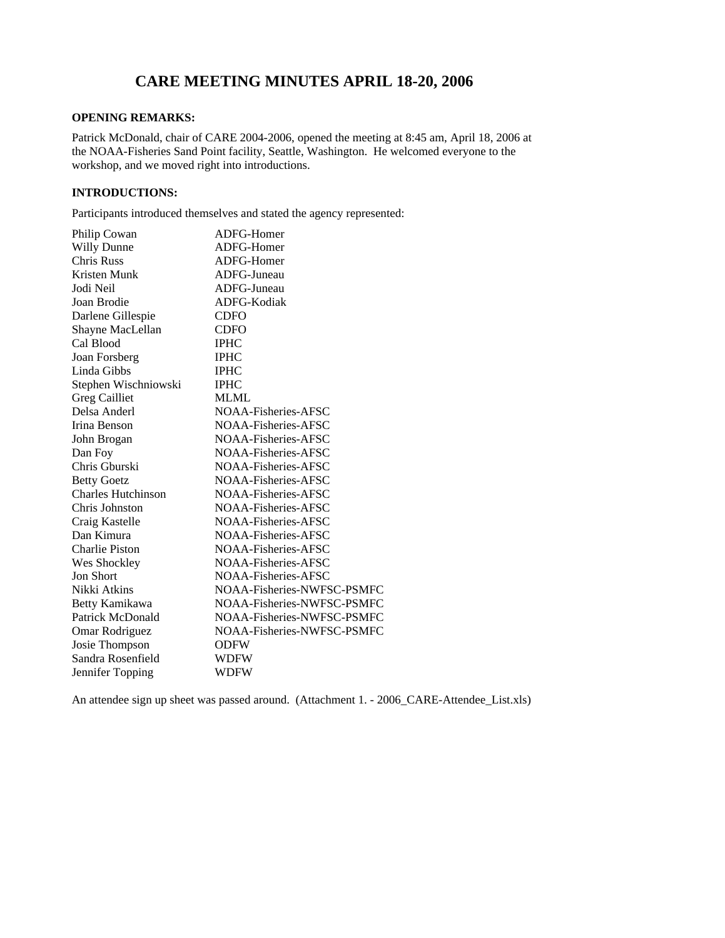# **CARE MEETING MINUTES APRIL 18-20, 2006**

# **OPENING REMARKS:**

Patrick McDonald, chair of CARE 2004-2006, opened the meeting at 8:45 am, April 18, 2006 at the NOAA-Fisheries Sand Point facility, Seattle, Washington. He welcomed everyone to the workshop, and we moved right into introductions.

# **INTRODUCTIONS:**

Participants introduced themselves and stated the agency represented:

|                                                                                                           | ADFG-Homer                 |
|-----------------------------------------------------------------------------------------------------------|----------------------------|
| Philip Cowan<br>Willy Dunne                                                                               | ADFG-Homer                 |
| Chris Russ                                                                                                | ADFG-Homer                 |
| Kristen Munk                                                                                              | ADFG-Juneau                |
|                                                                                                           | ADFG-Juneau                |
|                                                                                                           | ADFG-Kodiak                |
|                                                                                                           |                            |
|                                                                                                           | CDFO<br>CDFO               |
|                                                                                                           | $\rm IPHC$                 |
| Inisia<br>Jodi Neil<br>Joan Brodie<br>Darlene Gillespie<br>Shayne MacLellan<br>Cal Blood<br>Joan Forsberg |                            |
|                                                                                                           | $\rm IPHC$ $\rm IPHC$      |
|                                                                                                           | $\rm IPHC$                 |
|                                                                                                           | <b>MLML</b>                |
| Linda Gibbs<br>Stephen Wischniowski<br>Greg Cailliet<br>Delsa Anderl                                      |                            |
|                                                                                                           | NOAA-Fisheries-AFSC        |
| Irina Benson                                                                                              | NOAA-Fisheries-AFSC        |
| John Brogan                                                                                               | NOAA-Fisheries-AFSC        |
|                                                                                                           | NOAA-Fisheries-AFSC        |
|                                                                                                           | NOAA-Fisheries-AFSC        |
|                                                                                                           | NOAA-Fisheries-AFSC        |
| Dan Foy<br>Chris Gburski<br>Betty Goetz<br>Charles Hutchinson                                             | NOAA-Fisheries-AFSC        |
| Chris Johnston                                                                                            | NOAA-Fisheries-AFSC        |
| Craig Kastelle<br>Dan Kimura                                                                              | NOAA-Fisheries-AFSC        |
|                                                                                                           | NOAA-Fisheries-AFSC        |
| Charlie Piston                                                                                            | NOAA-Fisheries-AFSC        |
| Wes Shockley                                                                                              | NOAA-Fisheries-AFSC        |
| Jon Short                                                                                                 | NOAA-Fisheries-AFSC        |
| Nikki Atkins                                                                                              | NOAA-Fisheries-NWFSC-PSMFC |
|                                                                                                           | NOAA-Fisheries-NWFSC-PSMFC |
| Betty Kamikawa<br>Patrick McDonald                                                                        | NOAA-Fisheries-NWFSC-PSMFC |
| Omar Rodriguez                                                                                            | NOAA-Fisheries-NWFSC-PSMFC |
|                                                                                                           | <b>ODFW</b>                |
| Josie Thompson<br>Sandra Rosenfield                                                                       | <b>WDFW</b>                |
| Jennifer Topping                                                                                          | <b>WDFW</b>                |
|                                                                                                           |                            |

An attendee sign up sheet was passed around. (Attachment 1. - 2006 CARE-Attendee List.xls)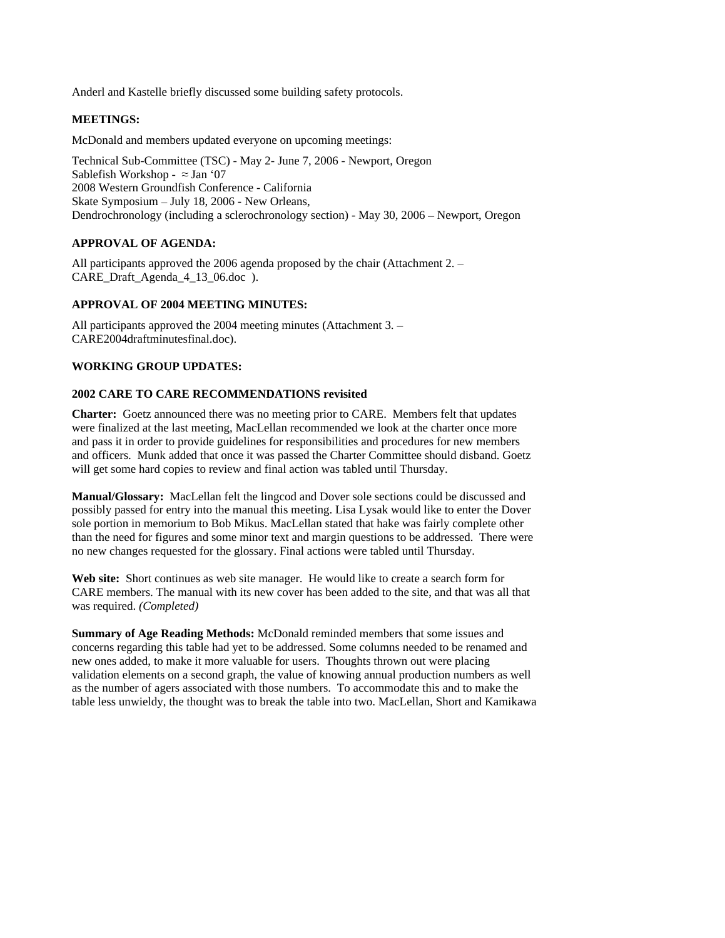Anderl and Kastelle briefly discussed some building safety protocols.

# **MEETINGS:**

McDonald and members updated everyone on upcoming meetings:

Technical Sub-Committee (TSC) - May 2- June 7, 2006 - Newport, Oregon Sablefish Workshop -  $\approx$  Jan '07 2008 Western Groundfish Conference - California Skate Symposium – July 18, 2006 - New Orleans, Dendrochronology (including a sclerochronology section) - May 30, 2006 - Newport, Oregon

# **APPROVAL OF AGENDA:**

All participants approved the 2006 agenda proposed by the chair (Attachment 2. – CARE\_Draft\_Agenda\_4\_13\_06.doc ).

# **APPROVAL OF 2004 MEETING MINUTES:**

All participants approved the 2004 meeting minutes (Attachment 3. – CARE2004draftminutesfinal.doc).

## **WORKING GROUP UPDATES:**

### **2002 CARE TO CARE RECOMMENDATIONS revisited**

**Charter:** Goetz announced there was no meeting prior to CARE. Members felt that updates were finalized at the last meeting, MacLellan recommended we look at the charter once more and pass it in order to provide guidelines for responsibilities and procedures for new members and officers. Munk added that once it was passed the Charter Committee should disband. Goetz will get some hard copies to review and final action was tabled until Thursday.

**Manual/Glossary:** MacLellan felt the lingcod and Dover sole sections could be discussed and possibly passed for entry into the manual this meeting. Lisa Lysak would like to enter the Dover sole portion in memorium to Bob Mikus. MacLellan stated that hake was fairly complete other than the need for figures and some minor text and margin questions to be addressed. There were no new changes requested for the glossary. Final actions were tabled until Thursday.

**Web site:** Short continues as web site manager. He would like to create a search form for CARE members. The manual with its new cover has been added to the site, and that was all that was required. *(Completed)*

**Summary of Age Reading Methods:** McDonald reminded members that some issues and concerns regarding this table had yet to be addressed. Some columns needed to be renamed and new ones added, to make it more valuable for users. Thoughts thrown out were placing validation elements on a second graph, the value of knowing annual production numbers as well as the number of agers associated with those numbers. To accommodate this and to make the table less unwieldy, the thought was to break the table into two. MacLellan, Short and Kamikawa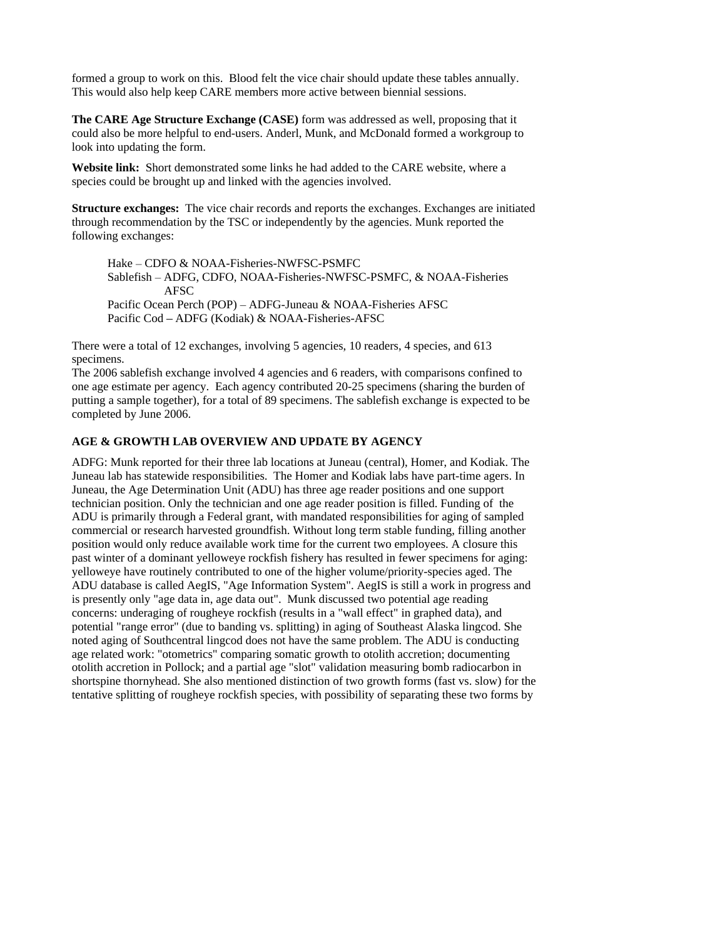formed a group to work on this. Blood felt the vice chair should update these tables annually. This would also help keep CARE members more active between biennial sessions.

**The CARE Age Structure Exchange (CASE)** form was addressed as well, proposing that it could also be more helpful to end-users. Anderl, Munk, and McDonald formed a workgroup to look into updating the form.

**Website link:** Short demonstrated some links he had added to the CARE website, where a species could be brought up and linked with the agencies involved.

**Structure exchanges:** The vice chair records and reports the exchanges. Exchanges are initiated through recommendation by the TSC or independently by the agencies. Munk reported the following exchanges:

Hake CDFO & NOAA-Fisheries-NWFSC-PSMFC Sablefish - ADFG, CDFO, NOAA-Fisheries-NWFSC-PSMFC, & NOAA-Fisheries AFSC<br>Pacific Ocean Perch (POP) – ADFG-Juneau & NOAA-Fisheries AFSC Pacific Cod - ADFG (Kodiak) & NOAA-Fisheries-AFSC

There were a total of 12 exchanges, involving 5 agencies, 10 readers, 4 species, and 613 specimens.

The 2006 sablefish exchange involved 4 agencies and 6 readers, with comparisons confined to one age estimate per agency. Each agency contributed 20-25 specimens (sharing the burden of putting a sample together), for a total of 89 specimens. The sablefish exchange is expected to be completed by June 2006.

## **AGE & GROWTH LAB OVERVIEW AND UPDATE BY AGENCY**

ADFG: Munk reported for their three lab locations at Juneau (central), Homer, and Kodiak. The Juneau lab has statewide responsibilities. The Homer and Kodiak labs have part-time agers. In Juneau, the Age Determination Unit (ADU) has three age reader positions and one support technician position. Only the technician and one age reader position is filled. Funding of the ADU is primarily through a Federal grant, with mandated responsibilities for aging of sampled commercial or research harvested groundfish. Without long term stable funding, filling another position would only reduce available work time for the current two employees. A closure this past winter of a dominant yelloweye rockfish fishery has resulted in fewer specimens for aging: yelloweye have routinely contributed to one of the higher volume/priority-species aged. The ADU database is called AegIS, "Age Information System". AegIS is still a work in progress and is presently only "age data in, age data out". Munk discussed two potential age reading concerns: underaging of rougheye rockfish (results in a "wall effect" in graphed data), and potential "range error" (due to banding vs. splitting) in aging of Southeast Alaska lingcod. She noted aging of Southcentral lingcod does not have the same problem. The ADU is conducting age related work: "otometrics" comparing somatic growth to otolith accretion; documenting otolith accretion in Pollock; and a partial age "slot" validation measuring bomb radiocarbon in shortspine thornyhead. She also mentioned distinction of two growth forms (fast vs. slow) for the tentative splitting of rougheye rockfish species, with possibility of separating these two forms by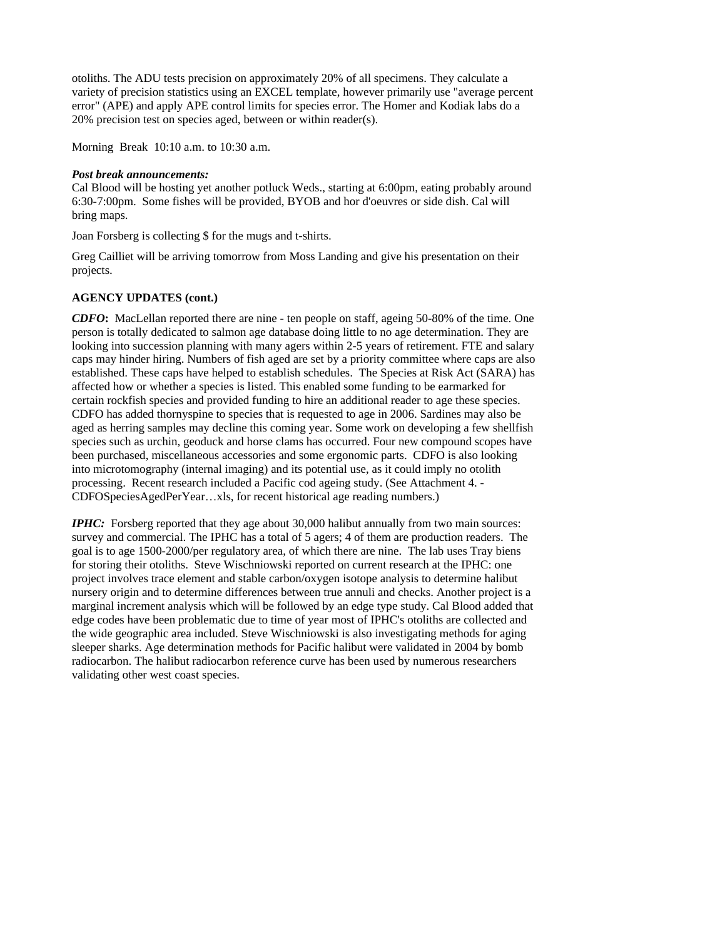otoliths. The ADU tests precision on approximately 20% of all specimens. They calculate a variety of precision statistics using an EXCEL template, however primarily use "average percent error" (APE) and apply APE control limits for species error. The Homer and Kodiak labs do a 20% precision test on species aged, between or within reader(s).

Morning Break 10:10 a.m. to 10:30 a.m.

#### *Post break announcements:*

Cal Blood will be hosting yet another potluck Weds., starting at 6:00pm, eating probably around 6:30-7:00pm. Some fishes will be provided, BYOB and hor d'oeuvres or side dish. Cal will bring maps. The contract of the contract of the contract of the contract of the contract of the contract of the contract of the contract of the contract of the contract of the contract of the contract of the contract of th

Joan Forsberg is collecting \$ for the mugs and t-shirts.

Greg Cailliet will be arriving tomorrow from Moss Landing and give his presentation on their projects. The contract of the contract of the contract of the contract of the contract of the contract of the contract of the contract of the contract of the contract of the contract of the contract of the contract of the

# **AGENCY UPDATES (cont.)**

*CDFO***:** MacLellan reported there are nine - ten people on staff, ageing 50-80% of the time. One person is totally dedicated to salmon age database doing little to no age determination. They are looking into succession planning with many agers within 2-5 years of retirement. FTE and salary caps may hinder hiring. Numbers of fish aged are set by a priority committee where caps are also established. These caps have helped to establish schedules. The Species at Risk Act (SARA) has affected how or whether a species is listed. This enabled some funding to be earmarked for certain rockfish species and provided funding to hire an additional reader to age these species. CDFO has added thornyspine to species that is requested to age in 2006. Sardines may also be aged as herring samples may decline this coming year. Some work on developing a few shellfish species such as urchin, geoduck and horse clams has occurred. Four new compound scopes have been purchased, miscellaneous accessories and some ergonomic parts. CDFO is also looking into microtomography (internal imaging) and its potential use, as it could imply no otolith processing. Recent research included a Pacific cod ageing study. (See Attachment 4. - CDFOSpeciesAgedPerYear...xls, for recent historical age reading numbers.)

*IPHC*: Forsberg reported that they age about 30,000 halibut annually from two main sources: survey and commercial. The IPHC has a total of 5 agers; 4 of them are production readers. The goal is to age 1500-2000/per regulatory area, of which there are nine. The lab uses Tray biens for storing their otoliths. Steve Wischniowski reported on current research at the IPHC: one project involves trace element and stable carbon/oxygen isotope analysis to determine halibut nursery origin and to determine differences between true annuli and checks. Another project is a marginal increment analysis which will be followed by an edge type study. Cal Blood added that edge codes have been problematic due to time of year most of IPHC's otoliths are collected and the wide geographic area included. Steve Wischniowski is also investigating methods for aging sleeper sharks. Age determination methods for Pacific halibut were validated in 2004 by bomb radiocarbon. The halibut radiocarbon reference curve has been used by numerous researchers validating other west coast species.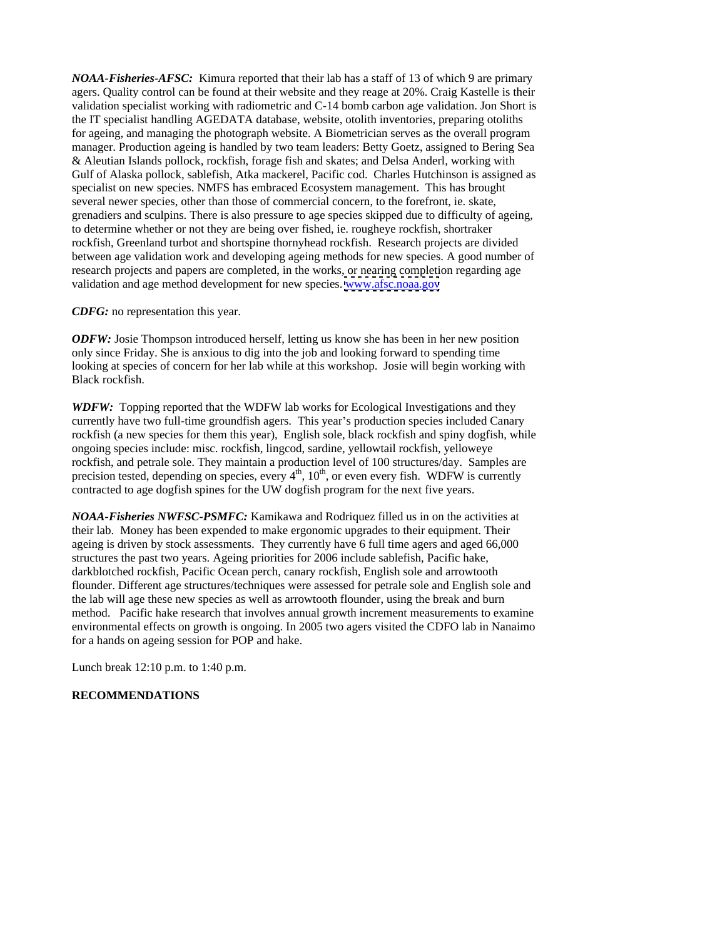*NOAA-Fisheries-AFSC:* Kimura reported that their lab has a staff of 13 of which 9 are primary agers. Quality control can be found at their website and they reage at 20%. Craig Kastelle is their validation specialist working with radiometric and C-14 bomb carbon age validation. Jon Short is the IT specialist handling AGEDATA database, website, otolith inventories, preparing otoliths for ageing, and managing the photograph website. A Biometrician serves as the overall program manager. Production ageing is handled by two team leaders: Betty Goetz, assigned to Bering Sea & Aleutian Islands pollock, rockfish, forage fish and skates; and Delsa Anderl, working with Gulf of Alaska pollock, sablefish, Atka mackerel, Pacific cod. Charles Hutchinson is assigned as specialist on new species. NMFS has embraced Ecosystem management. This has brought several newer species, other than those of commercial concern, to the forefront, ie. skate, grenadiers and sculpins. There is also pressure to age species skipped due to difficulty of ageing, to determine whether or not they are being over fished, ie. rougheye rockfish, shortraker rockfish, Greenland turbot and shortspine thornyhead rockfish. Research projects are divided between age validation work and developing ageing methods for new species. A good number of research projects and papers are completed, in the works, or nearing completion regarding age validation and age method development for new species. [www.afsc.noaa.gov](http://www.afsc.noaa.gov)

*CDFG:* no representation this year.

*ODFW:* Josie Thompson introduced herself, letting us know she has been in her new position only since Friday. She is anxious to dig into the job and looking forward to spending time looking at species of concern for her lab while at this workshop. Josie will begin working with Black rockfish.

*WDFW:* Topping reported that the WDFW lab works for Ecological Investigations and they currently have two full-time groundfish agers. This year's production species included Canary rockfish (a new species for them this year), English sole, black rockfish and spiny dogfish, while ongoing species include: misc. rockfish, lingcod, sardine, yellowtail rockfish, yelloweye rockfish, and petrale sole. They maintain a production level of 100 structures/day. Samples are precision tested, depending on species, every  $4<sup>th</sup>$ ,  $10<sup>th</sup>$ , or even every fish. WDFW is currently contracted to age dogfish spines for the UW dogfish program for the next five years.

*NOAA-Fisheries NWFSC-PSMFC:* Kamikawa and Rodriquez filled us in on the activities at their lab. Money has been expended to make ergonomic upgrades to their equipment. Their ageing is driven by stock assessments. They currently have 6 full time agers and aged 66,000 structures the past two years. Ageing priorities for 2006 include sablefish, Pacific hake, darkblotched rockfish, Pacific Ocean perch, canary rockfish, English sole and arrowtooth flounder. Different age structures/techniques were assessed for petrale sole and English sole and the lab will age these new species as well as arrowtooth flounder, using the break and burn method. Pacific hake research that involves annual growth increment measurements to examine environmental effects on growth is ongoing. In 2005 two agers visited the CDFO lab in Nanaimo for a hands on ageing session for POP and hake.

Lunch break 12:10 p.m. to 1:40 p.m.

### **RECOMMENDATIONS**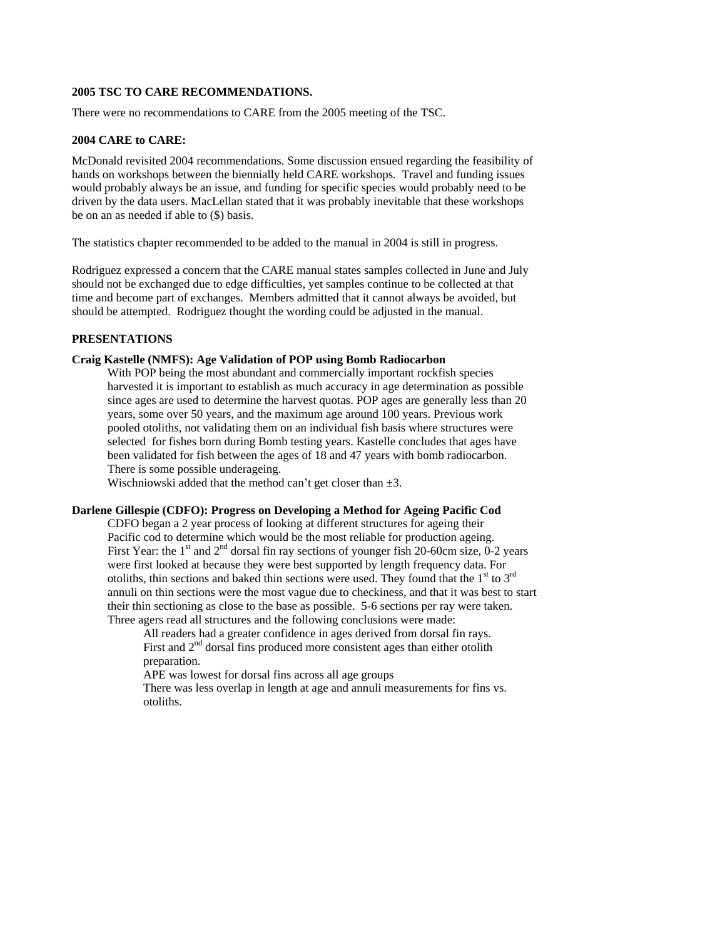## **2005 TSC TO CARE RECOMMENDATIONS.**

There were no recommendations to CARE from the 2005 meeting of the TSC.

# **2004 CARE to CARE:**

McDonald revisited 2004 recommendations. Some discussion ensued regarding the feasibility of hands on workshops between the biennially held CARE workshops. Travel and funding issues would probably always be an issue, and funding for specific species would probably need to be driven by the data users. MacLellan stated that it was probably inevitable that these workshops be on an as needed if able to (\$) basis.

The statistics chapter recommended to be added to the manual in 2004 is still in progress.

Rodriguez expressed a concern that the CARE manual states samples collected in June and July should not be exchanged due to edge difficulties, yet samples continue to be collected at that time and become part of exchanges. Members admitted that it cannot always be avoided, but should be attempted. Rodriguez thought the wording could be adjusted in the manual.

# **PRESENTATIONS**

# **Craig Kastelle (NMFS): Age Validation of POP using Bomb Radiocarbon**

With POP being the most abundant and commercially important rockfish species harvested it is important to establish as much accuracy in age determination as possible since ages are used to determine the harvest quotas. POP ages are generally less than 20 years, some over 50 years, and the maximum age around 100 years. Previous work pooled otoliths, not validating them on an individual fish basis where structures were selected for fishes born during Bomb testing years. Kastelle concludes that ages have been validated for fish between the ages of 18 and 47 years with bomb radiocarbon. There is some possible underageing.

Wischniowski added that the method can't get closer than  $\pm 3$ .

# **Darlene Gillespie (CDFO): Progress on Developing a Method for Ageing Pacific Cod**

CDFO began a 2 year process of looking at different structures for ageing their Pacific cod to determine which would be the most reliable for production ageing. First Year: the 1<sup>st</sup> and  $2<sup>nd</sup>$  dorsal fin ray sections of younger fish 20-60cm size, 0-2 years were first looked at because they were best supported by length frequency data. For otoliths, thin sections and baked thin sections were used. They found that the  $1<sup>st</sup>$  to  $3<sup>rd</sup>$ annuli on thin sections were the most vague due to checkiness, and that it was best to start their thin sectioning as close to the base as possible. 5-6 sections per ray were taken. Three agers read all structures and the following conclusions were made:

All readers had a greater confidence in ages derived from dorsal fin rays. First and  $2<sup>nd</sup>$  dorsal fins produced more consistent ages than either otolith preparation. The contract of the contract of the contract of the contract of the contract of the contract of the contract of the contract of the contract of the contract of the contract of the contract of the contract of t

APE was lowest for dorsal fins across all age groups

There was less overlap in length at age and annuli measurements for fins vs. otoliths.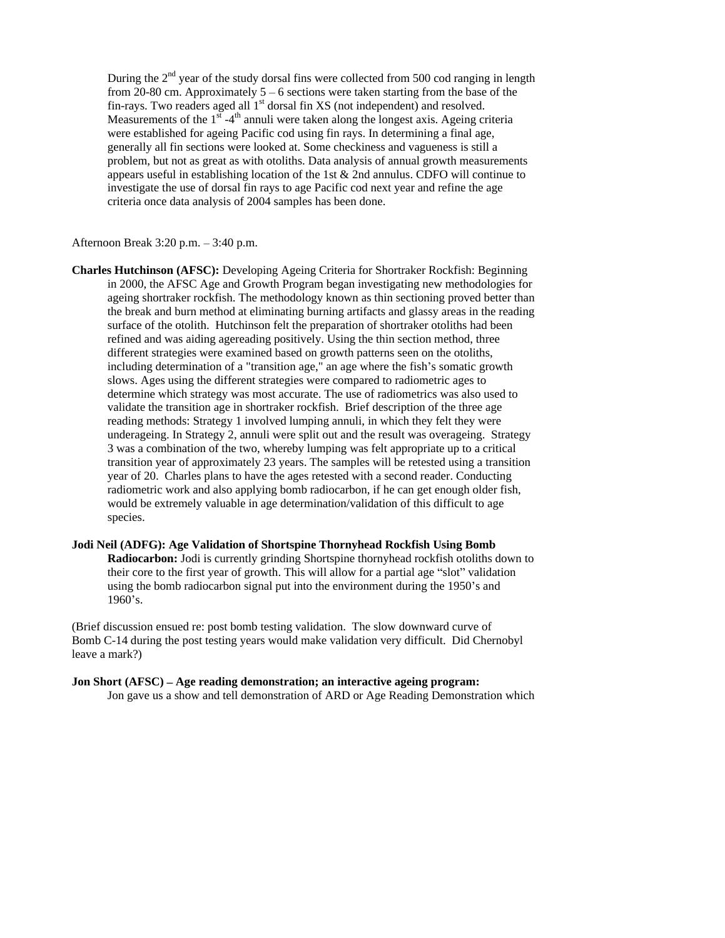During the 2<sup>nd</sup> year of the study dorsal fins were collected from 500 cod ranging in length from 20-80 cm. Approximately  $5 - 6$  sections were taken starting from the base of the fin-rays. Two readers aged all  $1<sup>st</sup>$  dorsal fin XS (not independent) and resolved. Measurements of the  $1^{s\bar{t}}$  -4<sup>th</sup> annuli were taken along the longest axis. Ageing criteria were established for ageing Pacific cod using fin rays. In determining a final age, generally all fin sections were looked at. Some checkiness and vagueness is still a problem, but not as great as with otoliths. Data analysis of annual growth measurements appears useful in establishing location of the 1st & 2nd annulus. CDFO will continue to investigate the use of dorsal fin rays to age Pacific cod next year and refine the age criteria once data analysis of 2004 samples has been done.

#### Afternoon Break  $3:20$  p.m.  $-3:40$  p.m.

**Charles Hutchinson (AFSC):** Developing Ageing Criteria for Shortraker Rockfish: Beginning in 2000, the AFSC Age and Growth Program began investigating new methodologies for ageing shortraker rockfish. The methodology known as thin sectioning proved better than the break and burn method at eliminating burning artifacts and glassy areas in the reading surface of the otolith. Hutchinson felt the preparation of shortraker otoliths had been refined and was aiding agereading positively. Using the thin section method, three different strategies were examined based on growth patterns seen on the otoliths, including determination of a "transition age," an age where the fish's somatic growth slows. Ages using the different strategies were compared to radiometric ages to determine which strategy was most accurate. The use of radiometrics was also used to validate the transition age in shortraker rockfish. Brief description of the three age reading methods: Strategy 1 involved lumping annuli, in which they felt they were underageing. In Strategy 2, annuli were split out and the result was overageing. Strategy 3 was a combination of the two, whereby lumping was felt appropriate up to a critical transition year of approximately 23 years. The samples will be retested using a transition year of 20. Charles plans to have the ages retested with a second reader. Conducting radiometric work and also applying bomb radiocarbon, if he can get enough older fish, would be extremely valuable in age determination/validation of this difficult to age species. The contract of the contract of the contract of the contract of the contract of the contract of the contract of the contract of the contract of the contract of the contract of the contract of the contract of the c

**Jodi Neil (ADFG): Age Validation of Shortspine Thornyhead Rockfish Using Bomb Radiocarbon:** Jodi is currently grinding Shortspine thornyhead rockfish otoliths down to their core to the first year of growth. This will allow for a partial age "slot" validation using the bomb radiocarbon signal put into the environment during the 1950's and 1960's.

(Brief discussion ensued re: post bomb testing validation. The slow downward curve of Bomb C-14 during the post testing years would make validation very difficult. Did Chernobyl leave a mark?)

**Jon Short (AFSC) – Age reading demonstration; an interactive ageing program:** Jon gave us a show and tell demonstration of ARD or Age Reading Demonstration which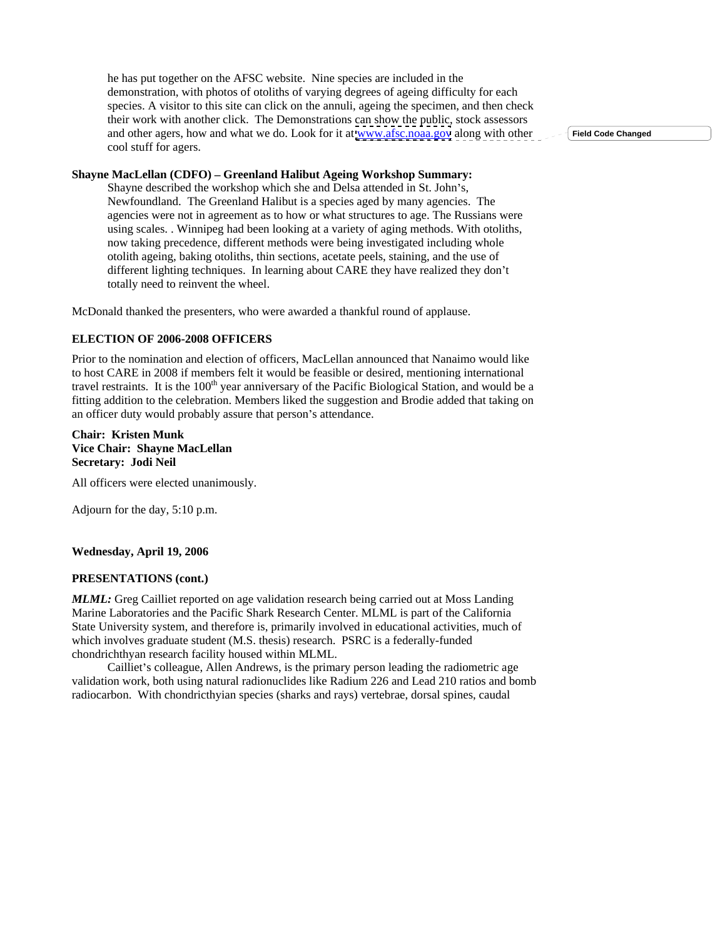he has put together on the AFSC website. Nine species are included in the demonstration, with photos of otoliths of varying degrees of ageing difficulty for each species. A visitor to this site can click on the annuli, ageing the specimen, and then check their work with another click. The Demonstrations can show the public, stock assessors and other agers, how and what we do. Look for it at [www.afsc.noaa.gov](http://www.afsc.noaa.gov) along with other  $\sim$  - field Code Changed cool stuff for agers.

**Field Code Changed**

# **Shayne MacLellan (CDFO) – Greenland Halibut Ageing Workshop Summary:**

Shayne described the workshop which she and Delsa attended in St. John's, Newfoundland. The Greenland Halibut is a species aged by many agencies. The agencies were not in agreement as to how or what structures to age. The Russians were using scales. . Winnipeg had been looking at a variety of aging methods. With otoliths, now taking precedence, different methods were being investigated including whole otolith ageing, baking otoliths, thin sections, acetate peels, staining, and the use of different lighting techniques. In learning about CARE they have realized they don't totally need to reinvent the wheel.

McDonald thanked the presenters, who were awarded a thankful round of applause.

### **ELECTION OF 2006-2008 OFFICERS**

Prior to the nomination and election of officers, MacLellan announced that Nanaimo would like to host CARE in 2008 if members felt it would be feasible or desired, mentioning international travel restraints. It is the 100<sup>th</sup> year anniversary of the Pacific Biological Station, and would be a fitting addition to the celebration. Members liked the suggestion and Brodie added that taking on an officer duty would probably assure that person's attendance.

## **Chair: Kristen Munk Vice Chair: Shayne MacLellan Secretary: Jodi Neil**

All officers were elected unanimously.

Adjourn for the day, 5:10 p.m.

#### **Wednesday, April 19, 2006**

#### **PRESENTATIONS (cont.)**

*MLML:* Greg Cailliet reported on age validation research being carried out at Moss Landing Marine Laboratories and the Pacific Shark Research Center. MLML is part of the California State University system, and therefore is, primarily involved in educational activities, much of which involves graduate student (M.S. thesis) research. PSRC is a federally-funded chondrichthyan research facility housed within MLML.

Cailliet's colleague. Allen Andrews, is the primary person leading the radiometric age validation work, both using natural radionuclides like Radium 226 and Lead 210 ratios and bomb radiocarbon. With chondricthyian species (sharks and rays) vertebrae, dorsal spines, caudal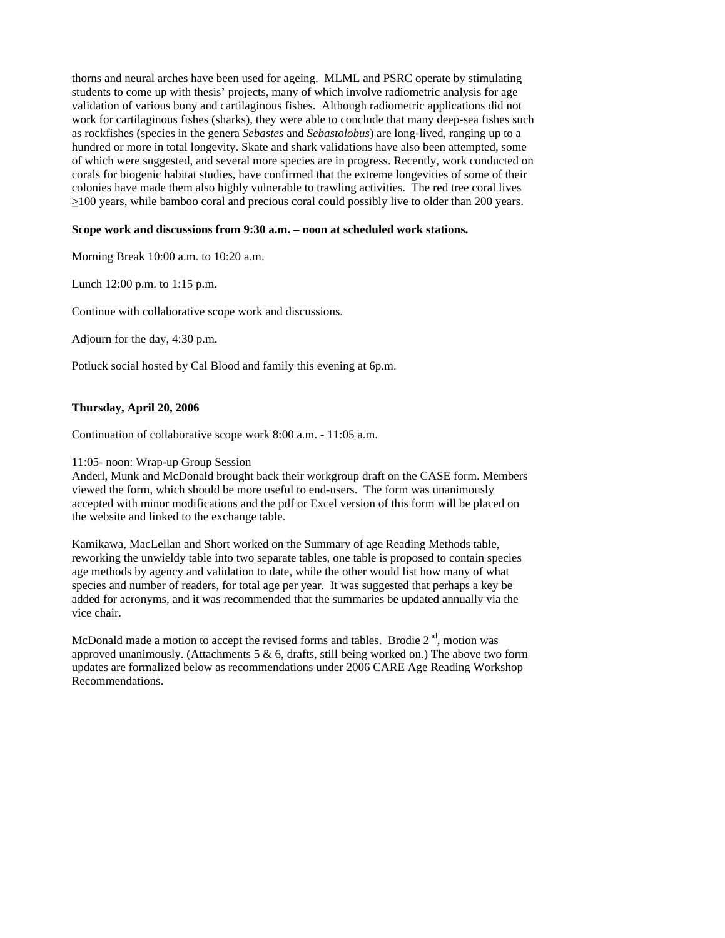thorns and neural arches have been used for ageing. MLML and PSRC operate by stimulating students to come up with thesis' projects, many of which involve radiometric analysis for age validation of various bony and cartilaginous fishes. Although radiometric applications did not work for cartilaginous fishes (sharks), they were able to conclude that many deep-sea fishes such as rockfishes (species in the genera *Sebastes* and *Sebastolobus*) are long-lived, ranging up to a hundred or more in total longevity. Skate and shark validations have also been attempted, some of which were suggested, and several more species are in progress. Recently, work conducted on corals for biogenic habitat studies, have confirmed that the extreme longevities of some of their colonies have made them also highly vulnerable to trawling activities. The red tree coral lives 100 years, while bamboo coral and precious coral could possibly live to older than 200 years.

# Scope work and discussions from 9:30 a.m. - noon at scheduled work stations.

Morning Break 10:00 a.m. to 10:20 a.m.

Lunch 12:00 p.m. to 1:15 p.m.

Continue with collaborative scope work and discussions.

Adjourn for the day, 4:30 p.m.

Potluck social hosted by Cal Blood and family this evening at 6p.m.

## **Thursday, April 20, 2006**

Continuation of collaborative scope work 8:00 a.m. - 11:05 a.m.

### 11:05- noon: Wrap-up Group Session

Anderl, Munk and McDonald brought back their workgroup draft on the CASE form. Members viewed the form, which should be more useful to end-users. The form was unanimously accepted with minor modifications and the pdf or Excel version of this form will be placed on the website and linked to the exchange table.<br>Kamikawa, MacLellan and Short worked on the Summary of age Reading Methods table,

reworking the unwieldy table into two separate tables, one table is proposed to contain species age methods by agency and validation to date, while the other would list how many of what species and number of readers, for total age per year. It was suggested that perhaps a key be added for acronyms, and it was recommended that the summaries be updated annually via the vice chair.

McDonald made a motion to accept the revised forms and tables. Brodie  $2<sup>nd</sup>$ , motion was , motion was approved unanimously. (Attachments  $5 \& 6$ , drafts, still being worked on.) The above two form updates are formalized below as recommendations under 2006 CARE Age Reading Workshop Recommendations.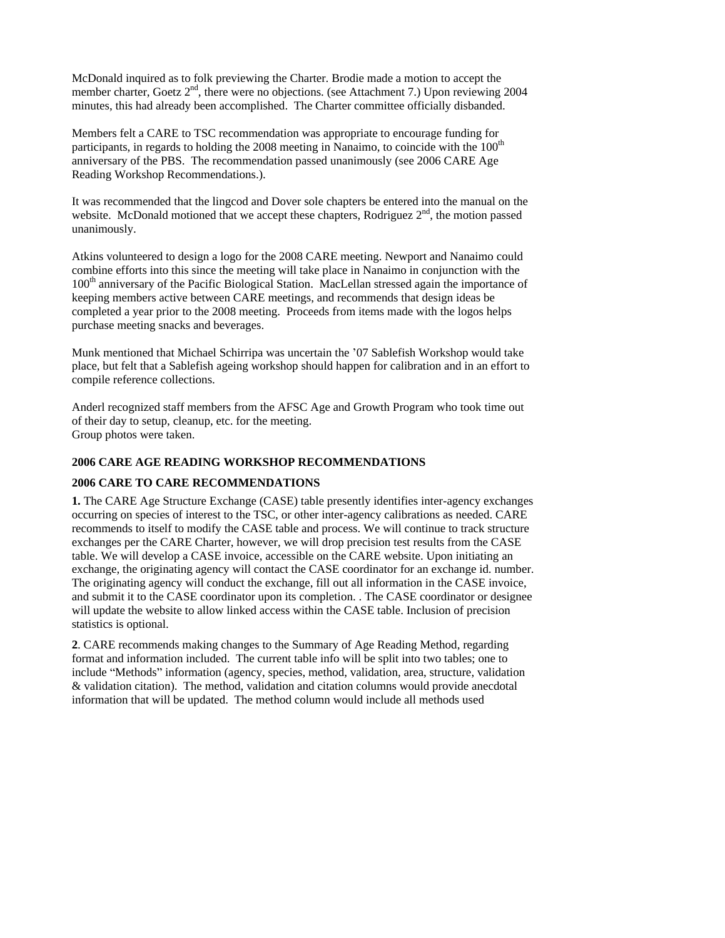McDonald inquired as to folk previewing the Charter. Brodie made a motion to accept the member charter, Goetz 2<sup>nd</sup>, there were no objections. (see Attachment 7.) Upon reviewing 2004 minutes, this had already been accomplished. The Charter committee officially disbanded.

Members felt a CARE to TSC recommendation was appropriate to encourage funding for participants, in regards to holding the 2008 meeting in Nanaimo, to coincide with the  $100<sup>th</sup>$ anniversary of the PBS. The recommendation passed unanimously (see 2006 CARE Age Reading Workshop Recommendations.).

It was recommended that the lingcod and Dover sole chapters be entered into the manual on the website. McDonald motioned that we accept these chapters. Rodriguez  $2<sup>nd</sup>$ , the motion passed unanimously.

Atkins volunteered to design a logo for the 2008 CARE meeting. Newport and Nanaimo could combine efforts into this since the meeting will take place in Nanaimo in conjunction with the 100<sup>th</sup> anniversary of the Pacific Biological Station. MacLellan stressed again the importance of keeping members active between CARE meetings, and recommends that design ideas be completed a year prior to the 2008 meeting. Proceeds from items made with the logos helps purchase meeting snacks and beverages.

Munk mentioned that Michael Schirripa was uncertain the '07 Sablefish Workshop would take place, but felt that a Sablefish ageing workshop should happen for calibration and in an effort to compile reference collections.

Anderl recognized staff members from the AFSC Age and Growth Program who took time out of their day to setup, cleanup, etc. for the meeting. Group photos were taken.

### **2006 CARE AGE READING WORKSHOP RECOMMENDATIONS**

# **2006 CARE TO CARE RECOMMENDATIONS**

**1.** The CARE Age Structure Exchange (CASE) table presently identifies inter-agency exchanges occurring on species of interest to the TSC, or other inter-agency calibrations as needed. CARE recommends to itself to modify the CASE table and process. We will continue to track structure exchanges per the CARE Charter, however, we will drop precision test results from the CASE table. We will develop a CASE invoice, accessible on the CARE website. Upon initiating an exchange, the originating agency will contact the CASE coordinator for an exchange id. number. The originating agency will conduct the exchange, fill out all information in the CASE invoice, and submit it to the CASE coordinator upon its completion. . The CASE coordinator or designee will update the website to allow linked access within the CASE table. Inclusion of precision statistics is optional.

**2**. CARE recommends making changes to the Summary of Age Reading Method, regarding format and information included. The current table info will be split into two tables; one to include "Methods" information (agency, species, method, validation, area, structure, validation & validation citation). The method, validation and citation columns would provide anecdotal information that will be updated. The method column would include all methods used